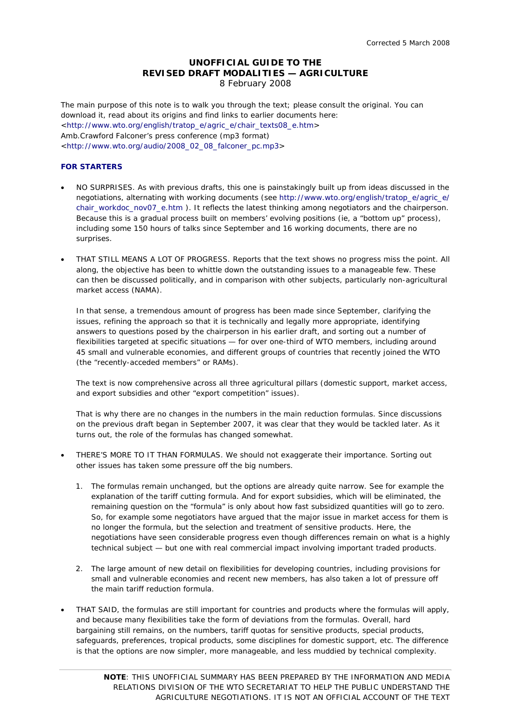# **UNOFFICIAL GUIDE TO THE REVISED DRAFT MODALITIES — AGRICULTURE**  8 February 2008

The main purpose of this note is to walk you through the text; please consult the original. You can download it, read about its origins and find links to earlier documents here: <http://www.wto.org/english/tratop\_e/agric\_e/chair\_texts08\_e.htm> Amb.Crawford Falconer's press conference (mp3 format) <http://www.wto.org/audio/2008\_02\_08\_falconer\_pc.mp3>

# **FOR STARTERS**

- NO SURPRISES. As with previous drafts, this one is painstakingly built up from ideas discussed in the negotiations, alternating with working documents (see http://www.wto.org/english/tratop\_e/agric\_e/ chair\_workdoc\_nov07\_e.htm ). It reflects the latest thinking among negotiators and the chairperson. Because this is a gradual process built on members' evolving positions (ie, a "bottom up" process), including some 150 hours of talks since September and 16 working documents, there are no surprises.
- THAT STILL MEANS A LOT OF PROGRESS. Reports that the text shows no progress miss the point. All along, the objective has been to whittle down the outstanding issues to a manageable few. These can then be discussed politically, and in comparison with other subjects, particularly non-agricultural market access (NAMA).

In that sense, a tremendous amount of progress has been made since September, clarifying the issues, refining the approach so that it is technically and legally more appropriate, identifying answers to questions posed by the chairperson in his earlier draft, and sorting out a number of flexibilities targeted at specific situations — for over one-third of WTO members, including around 45 small and vulnerable economies, and different groups of countries that recently joined the WTO (the "recently-acceded members" or RAMs).

The text is now comprehensive across all three agricultural pillars (domestic support, market access, and export subsidies and other "export competition" issues).

That is why there are no changes in the numbers in the main reduction formulas. Since discussions on the previous draft began in September 2007, it was clear that they would be tackled later. As it turns out, the role of the formulas has changed somewhat.

- THERE'S MORE TO IT THAN FORMULAS. We should not exaggerate their importance. Sorting out other issues has taken some pressure off the big numbers.
	- 1. The formulas remain unchanged, but the options are already quite narrow. See for example the explanation of the tariff cutting formula. And for export subsidies, which will be eliminated, the remaining question on the "formula" is only about how fast subsidized quantities will go to zero. So, for example some negotiators have argued that the major issue in market access for them is no longer the formula, but the selection and treatment of sensitive products. Here, the negotiations have seen considerable progress even though differences remain on what is a highly technical subject — but one with real commercial impact involving important traded products.
	- 2. The large amount of new detail on flexibilities for developing countries, including provisions for small and vulnerable economies and recent new members, has also taken a lot of pressure off the main tariff reduction formula.
- THAT SAID, the formulas are still important for countries and products where the formulas will apply, and because many flexibilities take the form of deviations from the formulas. Overall, hard bargaining still remains, on the numbers, tariff quotas for sensitive products, special products, safeguards, preferences, tropical products, some disciplines for domestic support, etc. The difference is that the options are now simpler, more manageable, and less muddied by technical complexity.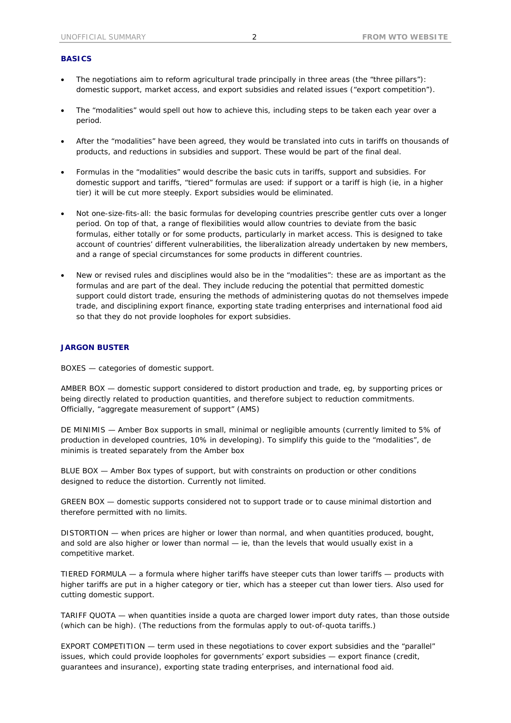### **BASICS**

- The negotiations aim to reform agricultural trade principally in three areas (the "three pillars"): domestic support, market access, and export subsidies and related issues ("export competition").
- The "modalities" would spell out how to achieve this, including steps to be taken each year over a period.
- After the "modalities" have been agreed, they would be translated into cuts in tariffs on thousands of products, and reductions in subsidies and support. These would be part of the final deal.
- Formulas in the "modalities" would describe the basic cuts in tariffs, support and subsidies. For domestic support and tariffs, "tiered" formulas are used: if support or a tariff is high (ie, in a higher tier) it will be cut more steeply. Export subsidies would be eliminated.
- Not one-size-fits-all: the basic formulas for developing countries prescribe gentler cuts over a longer period. On top of that, a range of flexibilities would allow countries to deviate from the basic formulas, either totally or for some products, particularly in market access. This is designed to take account of countries' different vulnerabilities, the liberalization already undertaken by new members, and a range of special circumstances for some products in different countries.
- New or revised rules and disciplines would also be in the "modalities": these are as important as the formulas and are part of the deal. They include reducing the potential that permitted domestic support could distort trade, ensuring the methods of administering quotas do not themselves impede trade, and disciplining export finance, exporting state trading enterprises and international food aid so that they do not provide loopholes for export subsidies.

### **JARGON BUSTER**

BOXES — categories of domestic support.

AMBER BOX — domestic support considered to distort production and trade, eg, by supporting prices or being directly related to production quantities, and therefore subject to reduction commitments. Officially, "aggregate measurement of support" (AMS)

DE MINIMIS — Amber Box supports in small, minimal or negligible amounts (currently limited to 5% of production in developed countries, 10% in developing). To simplify this guide to the "modalities", de minimis is treated separately from the Amber box

BLUE BOX — Amber Box types of support, but with constraints on production or other conditions designed to reduce the distortion. Currently not limited.

GREEN BOX — domestic supports considered not to support trade or to cause minimal distortion and therefore permitted with no limits.

DISTORTION — when prices are higher or lower than normal, and when quantities produced, bought, and sold are also higher or lower than normal — ie, than the levels that would usually exist in a competitive market.

TIERED FORMULA — a formula where higher tariffs have steeper cuts than lower tariffs — products with higher tariffs are put in a higher category or tier, which has a steeper cut than lower tiers. Also used for cutting domestic support.

TARIFF QUOTA — when quantities inside a quota are charged lower import duty rates, than those outside (which can be high). (The reductions from the formulas apply to out-of-quota tariffs.)

EXPORT COMPETITION — term used in these negotiations to cover export subsidies and the "parallel" issues, which could provide loopholes for governments' export subsidies — export finance (credit, guarantees and insurance), exporting state trading enterprises, and international food aid.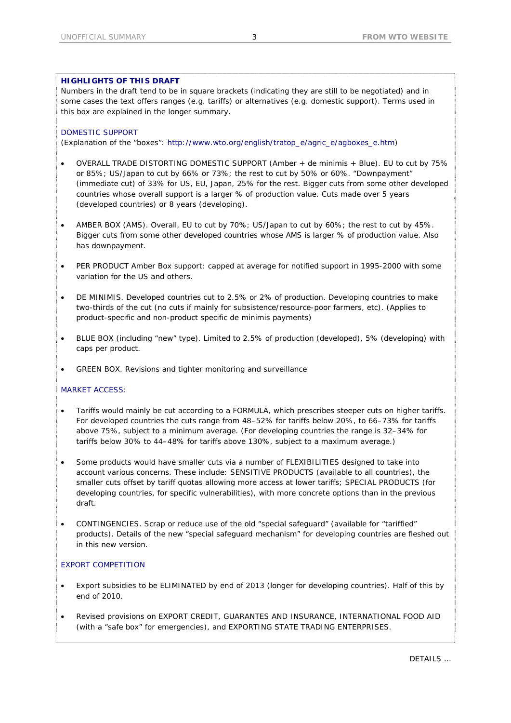# **HIGHLIGHTS OF THIS DRAFT**

Numbers in the draft tend to be in square brackets (indicating they are still to be negotiated) and in some cases the text offers ranges (e.g. tariffs) or alternatives (e.g. domestic support). Terms used in this box are explained in the longer summary.

# DOMESTIC SUPPORT

(Explanation of the "boxes": http://www.wto.org/english/tratop\_e/agric\_e/agboxes\_e.htm)

- OVERALL TRADE DISTORTING DOMESTIC SUPPORT (Amber + de minimis + Blue). EU to cut by 75% or 85%; US/Japan to cut by 66% or 73%; the rest to cut by 50% or 60%. "Downpayment" (immediate cut) of 33% for US, EU, Japan, 25% for the rest. Bigger cuts from some other developed countries whose overall support is a larger % of production value. Cuts made over 5 years (developed countries) or 8 years (developing).
- AMBER BOX (AMS). Overall, EU to cut by 70%; US/Japan to cut by 60%; the rest to cut by 45%. Bigger cuts from some other developed countries whose AMS is larger % of production value. Also has downpayment.
- PER PRODUCT Amber Box support: capped at average for notified support in 1995-2000 with some variation for the US and others.
- DE MINIMIS. Developed countries cut to 2.5% or 2% of production. Developing countries to make two-thirds of the cut (no cuts if mainly for subsistence/resource-poor farmers, etc). (Applies to product-specific and non-product specific de minimis payments)
- BLUE BOX (including "new" type). Limited to 2.5% of production (developed), 5% (developing) with caps per product.
- GREEN BOX. Revisions and tighter monitoring and surveillance

# MARKET ACCESS:

- Tariffs would mainly be cut according to a FORMULA, which prescribes steeper cuts on higher tariffs. For developed countries the cuts range from 48–52% for tariffs below 20%, to 66–73% for tariffs above 75%, subject to a minimum average. (For developing countries the range is 32–34% for tariffs below 30% to 44–48% for tariffs above 130%, subject to a maximum average.)
- Some products would have smaller cuts via a number of FLEXIBILITIES designed to take into account various concerns. These include: SENSITIVE PRODUCTS (available to all countries), the smaller cuts offset by tariff quotas allowing more access at lower tariffs; SPECIAL PRODUCTS (for developing countries, for specific vulnerabilities), with more concrete options than in the previous draft.
- CONTINGENCIES. Scrap or reduce use of the old "special safeguard" (available for "tariffied" products). Details of the new "special safeguard mechanism" for developing countries are fleshed out in this new version.

# EXPORT COMPETITION

- Export subsidies to be ELIMINATED by end of 2013 (longer for developing countries). Half of this by end of 2010.
- Revised provisions on EXPORT CREDIT, GUARANTES AND INSURANCE, INTERNATIONAL FOOD AID (with a "safe box" for emergencies), and EXPORTING STATE TRADING ENTERPRISES.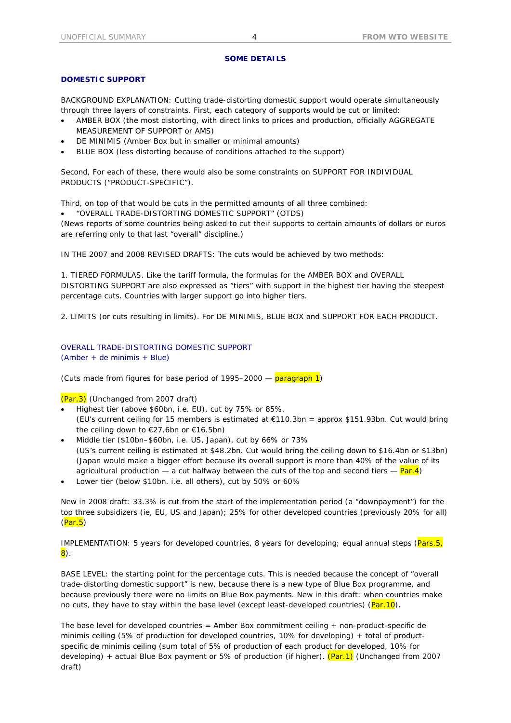# **SOME DETAILS**

# **DOMESTIC SUPPORT**

BACKGROUND EXPLANATION: Cutting trade-distorting domestic support would operate simultaneously through three layers of constraints. First, each category of supports would be cut or limited:

- AMBER BOX (the most distorting, with direct links to prices and production, officially AGGREGATE MEASUREMENT OF SUPPORT or AMS)
- DE MINIMIS (Amber Box but in smaller or minimal amounts)
- BLUE BOX (less distorting because of conditions attached to the support)

Second, For each of these, there would also be some constraints on SUPPORT FOR INDIVIDUAL PRODUCTS ("PRODUCT-SPECIFIC").

Third, on top of that would be cuts in the permitted amounts of all three combined:

• "OVERALL TRADE-DISTORTING DOMESTIC SUPPORT" (OTDS)

(News reports of some countries being asked to cut their supports to certain amounts of dollars or euros are referring only to that last "overall" discipline.)

IN THE 2007 and 2008 REVISED DRAFTS: The cuts would be achieved by two methods:

1. TIERED FORMULAS. Like the tariff formula, the formulas for the AMBER BOX and OVERALL DISTORTING SUPPORT are also expressed as "tiers" with support in the highest tier having the steepest percentage cuts. Countries with larger support go into higher tiers.

2. LIMITS (or cuts resulting in limits). For DE MINIMIS, BLUE BOX and SUPPORT FOR EACH PRODUCT.

OVERALL TRADE-DISTORTING DOMESTIC SUPPORT (Amber + de minimis + Blue)

(Cuts made from figures for base period of 1995–2000  $-$  paragraph 1)

(Par.3) (Unchanged from 2007 draft)

- Highest tier (above \$60bn, i.e. EU), cut by 75% or 85%. (EU's current ceiling for 15 members is estimated at €110.3bn = approx \$151.93bn. Cut would bring the ceiling down to €27.6bn or €16.5bn)
- Middle tier (\$10bn–\$60bn, i.e. US, Japan), cut by 66% or 73% (US's current ceiling is estimated at \$48.2bn. Cut would bring the ceiling down to \$16.4bn or \$13bn) (Japan would make a bigger effort because its overall support is more than 40% of the value of its agricultural production — a cut halfway between the cuts of the top and second tiers  $-$  Par.4)
- Lower tier (below \$10bn. i.e. all others), cut by 50% or 60%

New in 2008 draft: 33.3% is cut from the start of the implementation period (a "downpayment") for the top three subsidizers (ie, EU, US and Japan); 25% for other developed countries (previously 20% for all)  $(Par.5)$ 

IMPLEMENTATION: 5 years for developed countries, 8 years for developing; equal annual steps (Pars.5,  $\vert 8\rangle$  .

BASE LEVEL: the starting point for the percentage cuts. This is needed because the concept of "overall trade-distorting domestic support" is new, because there is a new type of Blue Box programme, and because previously there were no limits on Blue Box payments. New in this draft: when countries make no cuts, they have to stay within the base level (except least-developed countries)  $(Par.10)$ .

The base level for developed countries = Amber Box commitment ceiling + non-product-specific de minimis ceiling (5% of production for developed countries, 10% for developing) + total of productspecific de minimis ceiling (sum total of 5% of production of each product for developed, 10% for developing) + actual Blue Box payment or 5% of production (if higher).  $(Par.1)$  (Unchanged from 2007 draft)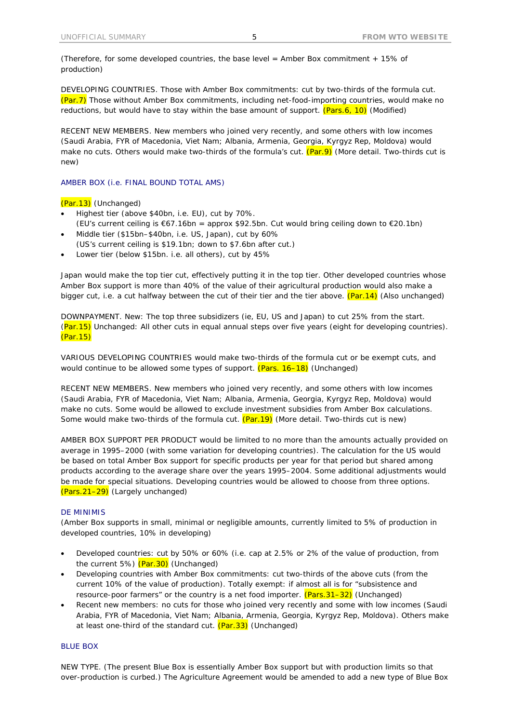(Therefore, for some developed countries, the base level = Amber Box commitment + 15% of production)

DEVELOPING COUNTRIES. Those with Amber Box commitments: cut by two-thirds of the formula cut. (Par.7) Those without Amber Box commitments, including net-food-importing countries, would make no reductions, but would have to stay within the base amount of support.  $(Pars.6, 10)$  (Modified)

RECENT NEW MEMBERS. New members who joined very recently, and some others with low incomes (Saudi Arabia, FYR of Macedonia, Viet Nam; Albania, Armenia, Georgia, Kyrgyz Rep, Moldova) would make no cuts. Others would make two-thirds of the formula's cut. (Par.9) (More detail. Two-thirds cut is new)

AMBER BOX (i.e. FINAL BOUND TOTAL AMS)

(Par.13) (Unchanged)

- Highest tier (above \$40bn, i.e. EU), cut by 70%. (EU's current ceiling is €67.16bn = approx \$92.5bn. Cut would bring ceiling down to €20.1bn)
- Middle tier (\$15bn–\$40bn, i.e. US, Japan), cut by 60% (US's current ceiling is \$19.1bn; down to \$7.6bn after cut.)
- Lower tier (below \$15bn. i.e. all others), cut by 45%

Japan would make the top tier cut, effectively putting it in the top tier. Other developed countries whose Amber Box support is more than 40% of the value of their agricultural production would also make a bigger cut, i.e. a cut halfway between the cut of their tier and the tier above. (Par.14) (Also unchanged)

DOWNPAYMENT. New: The top three subsidizers (ie, EU, US and Japan) to cut 25% from the start. (Par.15) Unchanged: All other cuts in equal annual steps over five years (eight for developing countries). (Par.15)

VARIOUS DEVELOPING COUNTRIES would make two-thirds of the formula cut or be exempt cuts, and would continue to be allowed some types of support. (Pars. 16–18) (Unchanged)

RECENT NEW MEMBERS. New members who joined very recently, and some others with low incomes (Saudi Arabia, FYR of Macedonia, Viet Nam; Albania, Armenia, Georgia, Kyrgyz Rep, Moldova) would make no cuts. Some would be allowed to exclude investment subsidies from Amber Box calculations. Some would make two-thirds of the formula cut. (Par.19) (More detail. Two-thirds cut is new)

AMBER BOX SUPPORT PER PRODUCT would be limited to no more than the amounts actually provided on average in 1995–2000 (with some variation for developing countries). The calculation for the US would be based on total Amber Box support for specific products per year for that period but shared among products according to the average share over the years 1995–2004. Some additional adjustments would be made for special situations. Developing countries would be allowed to choose from three options. (Pars.21–29) (Largely unchanged)

#### DE MINIMIS

(Amber Box supports in small, minimal or negligible amounts, currently limited to 5% of production in developed countries, 10% in developing)

- Developed countries: cut by 50% or 60% (i.e. cap at 2.5% or 2% of the value of production, from the current 5%) (Par.30) (Unchanged)
- Developing countries with Amber Box commitments: cut two-thirds of the above cuts (from the current 10% of the value of production). Totally exempt: if almost all is for "subsistence and resource-poor farmers" or the country is a net food importer. (Pars.31–32) (Unchanged)
- Recent new members: no cuts for those who joined very recently and some with low incomes (Saudi Arabia, FYR of Macedonia, Viet Nam; Albania, Armenia, Georgia, Kyrgyz Rep, Moldova). Others make at least one-third of the standard cut.  $(Par.33)$  (Unchanged)

#### BLUE BOX

NEW TYPE. (The present Blue Box is essentially Amber Box support but with production limits so that over-production is curbed.) The Agriculture Agreement would be amended to add a new type of Blue Box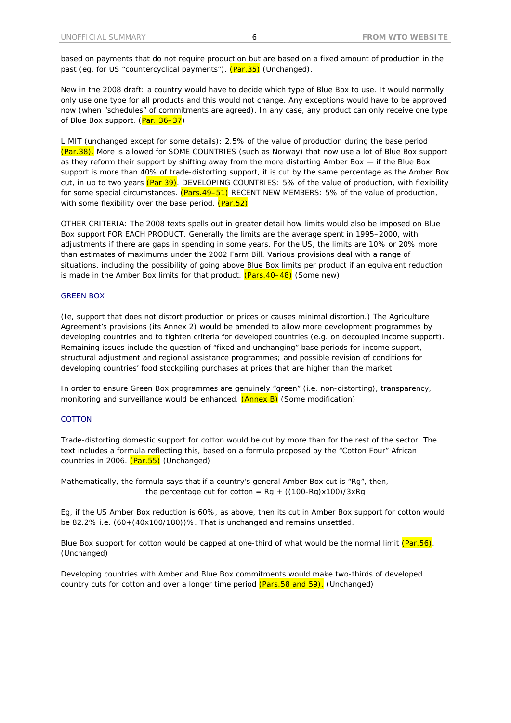based on payments that do not require production but are based on a fixed amount of production in the past (eg, for US "countercyclical payments"). (Par.35) (Unchanged).

New in the 2008 draft: a country would have to decide which type of Blue Box to use. It would normally only use one type for all products and this would not change. Any exceptions would have to be approved now (when "schedules" of commitments are agreed). In any case, any product can only receive one type of Blue Box support. (Par. 36-37)

LIMIT (unchanged except for some details): 2.5% of the value of production during the base period (Par.38). More is allowed for SOME COUNTRIES (such as Norway) that now use a lot of Blue Box support as they reform their support by shifting away from the more distorting Amber Box — if the Blue Box support is more than 40% of trade-distorting support, it is cut by the same percentage as the Amber Box cut, in up to two years (Par 39). DEVELOPING COUNTRIES: 5% of the value of production, with flexibility for some special circumstances. (Pars.49-51) RECENT NEW MEMBERS: 5% of the value of production, with some flexibility over the base period. (Par.52)

OTHER CRITERIA: The 2008 texts spells out in greater detail how limits would also be imposed on Blue Box support FOR EACH PRODUCT. Generally the limits are the average spent in 1995–2000, with adjustments if there are gaps in spending in some years. For the US, the limits are 10% or 20% more than estimates of maximums under the 2002 Farm Bill. Various provisions deal with a range of situations, including the possibility of going above Blue Box limits per product if an equivalent reduction is made in the Amber Box limits for that product.  $(Pars.40-48)$  (Some new)

#### GREEN BOX

(Ie, support that does not distort production or prices or causes minimal distortion.) The Agriculture Agreement's provisions (its Annex 2) would be amended to allow more development programmes by developing countries and to tighten criteria for developed countries (e.g. on decoupled income support). Remaining issues include the question of "fixed and unchanging" base periods for income support, structural adjustment and regional assistance programmes; and possible revision of conditions for developing countries' food stockpiling purchases at prices that are higher than the market.

In order to ensure Green Box programmes are genuinely "green" (i.e. non-distorting), transparency, monitoring and surveillance would be enhanced. (Annex B) (Some modification)

## **COTTON**

Trade-distorting domestic support for cotton would be cut by more than for the rest of the sector. The text includes a formula reflecting this, based on a formula proposed by the "Cotton Four" African countries in 2006. (Par.55) (Unchanged)

Mathematically, the formula says that if a country's general Amber Box cut is "Rg", then, the percentage cut for cotton =  $Rg + ((100-Rg)x100)/3xRg$ 

Eg, if the US Amber Box reduction is 60%, as above, then its cut in Amber Box support for cotton would be 82.2% i.e. (60+(40x100/180))%. That is unchanged and remains unsettled.

Blue Box support for cotton would be capped at one-third of what would be the normal limit  $(Par.56)$ . (Unchanged)

Developing countries with Amber and Blue Box commitments would make two-thirds of developed country cuts for cotton and over a longer time period (Pars.58 and 59). (Unchanged)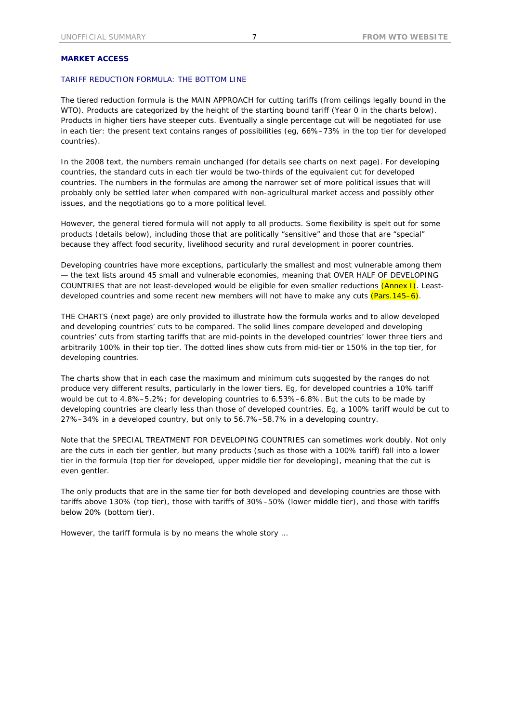### **MARKET ACCESS**

# TARIFF REDUCTION FORMULA: THE BOTTOM LINE

The tiered reduction formula is the MAIN APPROACH for cutting tariffs (from ceilings legally bound in the WTO). Products are categorized by the height of the starting bound tariff (Year 0 in the charts below). Products in higher tiers have steeper cuts. Eventually a single percentage cut will be negotiated for use in each tier: the present text contains ranges of possibilities (eg, 66%–73% in the top tier for developed countries).

In the 2008 text, the numbers remain unchanged (for details see charts on next page). For developing countries, the standard cuts in each tier would be two-thirds of the equivalent cut for developed countries. The numbers in the formulas are among the narrower set of more political issues that will probably only be settled later when compared with non-agricultural market access and possibly other issues, and the negotiations go to a more political level.

However, the general tiered formula will not apply to all products. Some flexibility is spelt out for some products (details below), including those that are politically "sensitive" and those that are "special" because they affect food security, livelihood security and rural development in poorer countries.

Developing countries have more exceptions, particularly the smallest and most vulnerable among them — the text lists around 45 small and vulnerable economies, meaning that OVER HALF OF DEVELOPING COUNTRIES that are not least-developed would be eligible for even smaller reductions (Annex I). Leastdeveloped countries and some recent new members will not have to make any cuts (Pars. 145–6).

THE CHARTS (next page) are only provided to illustrate how the formula works and to allow developed and developing countries' cuts to be compared. The solid lines compare developed and developing countries' cuts from starting tariffs that are mid-points in the developed countries' lower three tiers and arbitrarily 100% in their top tier. The dotted lines show cuts from mid-tier or 150% in the top tier, for developing countries.

The charts show that in each case the maximum and minimum cuts suggested by the ranges do not produce very different results, particularly in the lower tiers. Eg, for developed countries a 10% tariff would be cut to 4.8%–5.2%; for developing countries to 6.53%–6.8%. But the cuts to be made by developing countries are clearly less than those of developed countries. Eg, a 100% tariff would be cut to 27%–34% in a developed country, but only to 56.7%–58.7% in a developing country.

Note that the SPECIAL TREATMENT FOR DEVELOPING COUNTRIES can sometimes work doubly. Not only are the cuts in each tier gentler, but many products (such as those with a 100% tariff) fall into a lower tier in the formula (top tier for developed, upper middle tier for developing), meaning that the cut is even gentler.

The only products that are in the same tier for both developed and developing countries are those with tariffs above 130% (top tier), those with tariffs of 30%–50% (lower middle tier), and those with tariffs below 20% (bottom tier).

However, the tariff formula is by no means the whole story …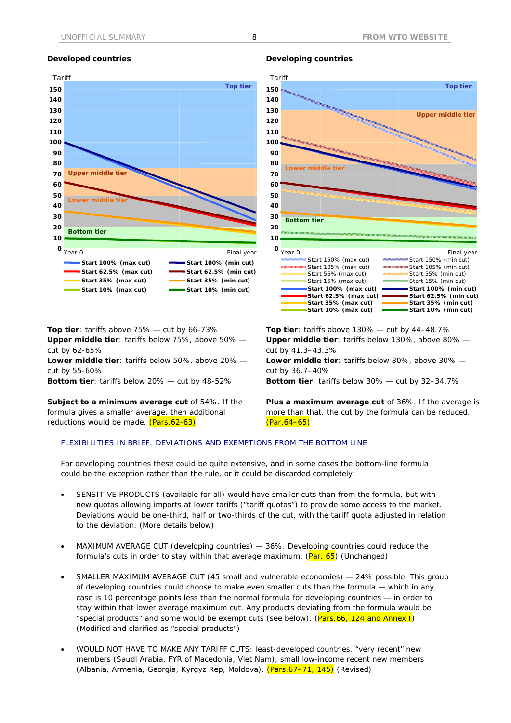

**Top tier**: tariffs above 75% — cut by 66-73%

**Upper middle tier**: tariffs below 75%, above 50% cut by 62-65%

**Lower middle tier**: tariffs below 50%, above 20% cut by 55-60%

**Bottom tier**: tariffs below 20% — cut by 48-52%

**Subject to a minimum average cut** of 54%. If the formula gives a smaller average, then additional reductions would be made. (Pars.62-63)





**Top tier**: tariffs above 130% — cut by 44–48.7% **Upper middle tier**: tariffs below 130%, above 80% cut by 41.3–43.3%

**Lower middle tier**: tariffs below 80%, above 30% cut by 36.7–40%

**Bottom tier**: tariffs below 30% — cut by 32–34.7%

**Plus a maximum average cut** of 36%. If the average is more than that, the cut by the formula can be reduced. (Par.64–65)

## FLEXIBILITIES IN BRIEF: DEVIATIONS AND EXEMPTIONS FROM THE BOTTOM LINE

For developing countries these could be quite extensive, and in some cases the bottom-line formula could be the exception rather than the rule, or it could be discarded completely:

- SENSITIVE PRODUCTS (available for all) would have smaller cuts than from the formula, but with new quotas allowing imports at lower tariffs ("tariff quotas") to provide some access to the market. Deviations would be one-third, half or two-thirds of the cut, with the tariff quota adjusted in relation to the deviation. (More details below)
- MAXIMUM AVERAGE CUT (developing countries) 36%. Developing countries could reduce the formula's cuts in order to stay within that average maximum. (Par. 65) (Unchanged)
- SMALLER MAXIMUM AVERAGE CUT (45 small and vulnerable economies) 24% possible. This group of developing countries could choose to make even smaller cuts than the formula — which in any case is 10 percentage points less than the normal formula for developing countries — in order to stay within that lower average maximum cut. Any products deviating from the formula would be "special products" and some would be exempt cuts (see below). (Pars.66, 124 and Annex I) (Modified and clarified as "special products")
- WOULD NOT HAVE TO MAKE ANY TARIFF CUTS: least-developed countries, "very recent" new members (Saudi Arabia, FYR of Macedonia, Viet Nam), small low-income recent new members (Albania, Armenia, Georgia, Kyrgyz Rep, Moldova). (Pars.67–71, 145) (Revised)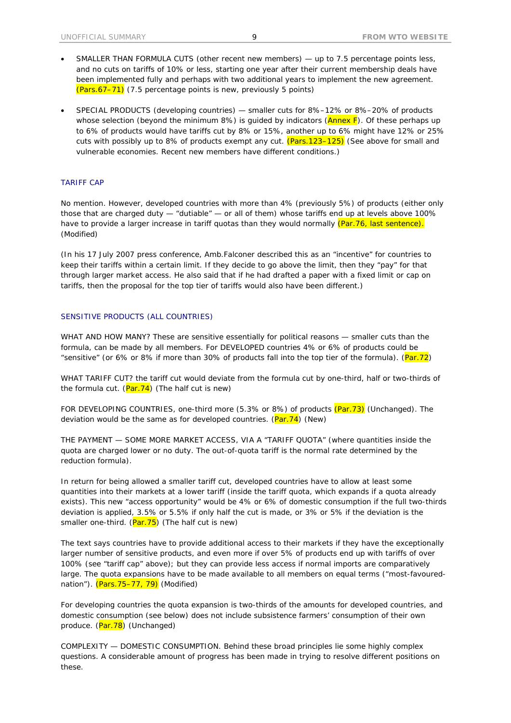- SMALLER THAN FORMULA CUTS (other recent new members) up to 7.5 percentage points less, and no cuts on tariffs of 10% or less, starting one year after their current membership deals have been implemented fully and perhaps with two additional years to implement the new agreement.  $(Pass.67–71)$  (7.5 percentage points is new, previously 5 points)
- SPECIAL PRODUCTS (developing countries) smaller cuts for 8%–12% or 8%–20% of products whose selection (beyond the minimum 8%) is guided by indicators  $(Annex F)$ . Of these perhaps up to 6% of products would have tariffs cut by 8% or 15%, another up to 6% might have 12% or 25% cuts with possibly up to 8% of products exempt any cut. (Pars.123-125) (See above for small and vulnerable economies. Recent new members have different conditions.)

### TARIFF CAP

No mention. However, developed countries with more than 4% (previously 5%) of products (either only those that are charged duty — "dutiable" — or all of them) whose tariffs end up at levels above 100% have to provide a larger increase in tariff quotas than they would normally (Par. 76, last sentence). (Modified)

(In his 17 July 2007 press conference, Amb.Falconer described this as an "incentive" for countries to keep their tariffs within a certain limit. If they decide to go above the limit, then they "pay" for that through larger market access. He also said that if he had drafted a paper with a fixed limit or cap on tariffs, then the proposal for the top tier of tariffs would also have been different.)

#### SENSITIVE PRODUCTS (ALL COUNTRIES)

WHAT AND HOW MANY? These are sensitive essentially for political reasons — smaller cuts than the formula, can be made by all members. For DEVELOPED countries 4% or 6% of products could be "sensitive" (or 6% or 8% if more than 30% of products fall into the top tier of the formula). (Par.72)

WHAT TARIFF CUT? the tariff cut would deviate from the formula cut by one-third, half or two-thirds of the formula cut.  $(Par.74)$  (The half cut is new)

FOR DEVELOPING COUNTRIES, one-third more (5.3% or 8%) of products (Par.73) (Unchanged). The deviation would be the same as for developed countries.  $(Par.74)$  (New)

THE PAYMENT — SOME MORE MARKET ACCESS, VIA A "TARIFF QUOTA" (where quantities inside the quota are charged lower or no duty. The out-of-quota tariff is the normal rate determined by the reduction formula).

In return for being allowed a smaller tariff cut, developed countries have to allow at least some quantities into their markets at a lower tariff (inside the tariff quota, which expands if a quota already exists). This new "access opportunity" would be 4% or 6% of domestic consumption if the full two-thirds deviation is applied, 3.5% or 5.5% if only half the cut is made, or 3% or 5% if the deviation is the smaller one-third.  $(Par.75)$  (The half cut is new)

The text says countries have to provide additional access to their markets if they have the exceptionally larger number of sensitive products, and even more if over 5% of products end up with tariffs of over 100% (see "tariff cap" above); but they can provide less access if normal imports are comparatively large. The quota expansions have to be made available to all members on equal terms ("most-favourednation"). (Pars. 75–77, 79) (Modified)

For developing countries the quota expansion is two-thirds of the amounts for developed countries, and domestic consumption (see below) does not include subsistence farmers' consumption of their own produce. (Par. 78) (Unchanged)

COMPLEXITY — DOMESTIC CONSUMPTION. Behind these broad principles lie some highly complex questions. A considerable amount of progress has been made in trying to resolve different positions on these.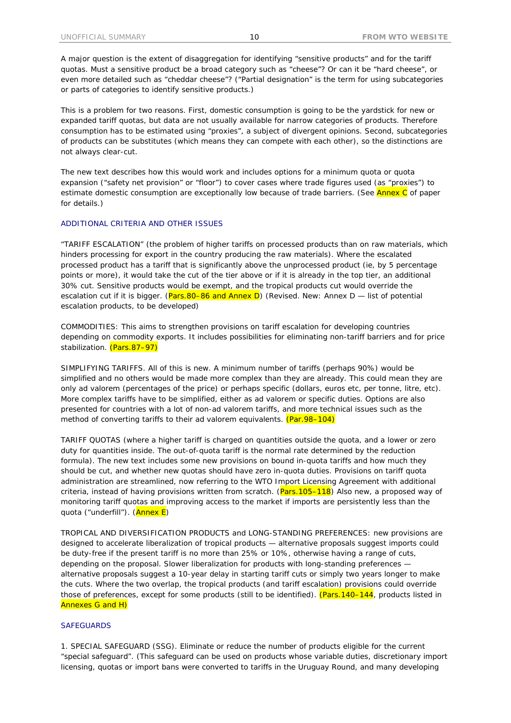A major question is the extent of disaggregation for identifying "sensitive products" and for the tariff quotas. Must a sensitive product be a broad category such as "cheese"? Or can it be "hard cheese", or even more detailed such as "cheddar cheese"? ("Partial designation" is the term for using subcategories or parts of categories to identify sensitive products.)

This is a problem for two reasons. First, domestic consumption is going to be the yardstick for new or expanded tariff quotas, but data are not usually available for narrow categories of products. Therefore consumption has to be estimated using "proxies", a subject of divergent opinions. Second, subcategories of products can be substitutes (which means they can compete with each other), so the distinctions are not always clear-cut.

The new text describes how this would work and includes options for a minimum quota or quota expansion ("safety net provision" or "floor") to cover cases where trade figures used (as "proxies") to estimate domestic consumption are exceptionally low because of trade barriers. (See Annex C of paper for details.)

### ADDITIONAL CRITERIA AND OTHER ISSUES

"TARIFF ESCALATION" (the problem of higher tariffs on processed products than on raw materials, which hinders processing for export in the country producing the raw materials). Where the escalated processed product has a tariff that is significantly above the unprocessed product (ie, by 5 percentage points or more), it would take the cut of the tier above or if it is already in the top tier, an additional 30% cut. Sensitive products would be exempt, and the tropical products cut would override the escalation cut if it is bigger. (Pars.80–86 and Annex D) (Revised. New: Annex D — list of potential escalation products, to be developed)

COMMODITIES: This aims to strengthen provisions on tariff escalation for developing countries depending on commodity exports. It includes possibilities for eliminating non-tariff barriers and for price stabilization. (Pars.87-97)

SIMPLIFYING TARIFFS. All of this is new. A minimum number of tariffs (perhaps 90%) would be simplified and no others would be made more complex than they are already. This could mean they are only ad valorem (percentages of the price) or perhaps specific (dollars, euros etc, per tonne, litre, etc). More complex tariffs have to be simplified, either as ad valorem or specific duties. Options are also presented for countries with a lot of non-ad valorem tariffs, and more technical issues such as the method of converting tariffs to their ad valorem equivalents. (Par.98–104)

TARIFF QUOTAS (where a higher tariff is charged on quantities outside the quota, and a lower or zero duty for quantities inside. The out-of-quota tariff is the normal rate determined by the reduction formula). The new text includes some new provisions on bound in-quota tariffs and how much they should be cut, and whether new quotas should have zero in-quota duties. Provisions on tariff quota administration are streamlined, now referring to the WTO Import Licensing Agreement with additional criteria, instead of having provisions written from scratch. (Pars.105-118) Also new, a proposed way of monitoring tariff quotas and improving access to the market if imports are persistently less than the quota ("underfill"). (Annex E)

TROPICAL AND DIVERSIFICATION PRODUCTS and LONG-STANDING PREFERENCES: new provisions are designed to accelerate liberalization of tropical products — alternative proposals suggest imports could be duty-free if the present tariff is no more than 25% or 10%, otherwise having a range of cuts, depending on the proposal. Slower liberalization for products with long-standing preferences alternative proposals suggest a 10-year delay in starting tariff cuts or simply two years longer to make the cuts. Where the two overlap, the tropical products (and tariff escalation) provisions could override those of preferences, except for some products (still to be identified). (Pars. 140–144, products listed in Annexes G and H)

#### **SAFEGUARDS**

1. SPECIAL SAFEGUARD (SSG). Eliminate or reduce the number of products eligible for the current "special safeguard". (This safeguard can be used on products whose variable duties, discretionary import licensing, quotas or import bans were converted to tariffs in the Uruguay Round, and many developing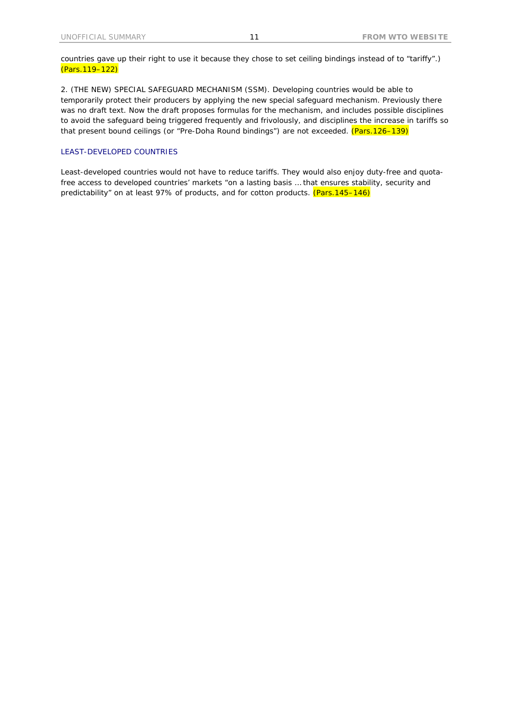countries gave up their right to use it because they chose to set ceiling bindings instead of to "tariffy".) (Pars.119–122)

2. (THE NEW) SPECIAL SAFEGUARD MECHANISM (SSM). Developing countries would be able to temporarily protect their producers by applying the new special safeguard mechanism. Previously there was no draft text. Now the draft proposes formulas for the mechanism, and includes possible disciplines to avoid the safeguard being triggered frequently and frivolously, and disciplines the increase in tariffs so that present bound ceilings (or "Pre-Doha Round bindings") are not exceeded. (Pars.126-139)

#### LEAST-DEVELOPED COUNTRIES

Least-developed countries would not have to reduce tariffs. They would also enjoy duty-free and quotafree access to developed countries' markets "on a lasting basis … that ensures stability, security and predictability" on at least 97% of products, and for cotton products. (Pars.145-146)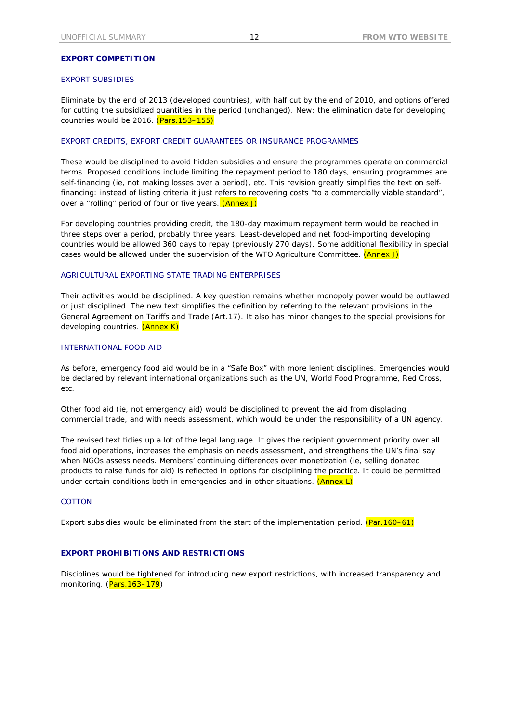#### **EXPORT COMPETITION**

## EXPORT SUBSIDIES

Eliminate by the end of 2013 (developed countries), with half cut by the end of 2010, and options offered for cutting the subsidized quantities in the period (unchanged). New: the elimination date for developing countries would be 2016. (Pars. 153-155)

#### EXPORT CREDITS, EXPORT CREDIT GUARANTEES OR INSURANCE PROGRAMMES

These would be disciplined to avoid hidden subsidies and ensure the programmes operate on commercial terms. Proposed conditions include limiting the repayment period to 180 days, ensuring programmes are self-financing (ie, not making losses over a period), etc. This revision greatly simplifies the text on selffinancing: instead of listing criteria it just refers to recovering costs "to a commercially viable standard", over a "rolling" period of four or five years. (Annex J)

For developing countries providing credit, the 180-day maximum repayment term would be reached in three steps over a period, probably three years. Least-developed and net food-importing developing countries would be allowed 360 days to repay (previously 270 days). Some additional flexibility in special cases would be allowed under the supervision of the WTO Agriculture Committee. (Annex J)

#### AGRICULTURAL EXPORTING STATE TRADING ENTERPRISES

Their activities would be disciplined. A key question remains whether monopoly power would be outlawed or just disciplined. The new text simplifies the definition by referring to the relevant provisions in the General Agreement on Tariffs and Trade (Art.17). It also has minor changes to the special provisions for developing countries. (Annex K)

### INTERNATIONAL FOOD AID

As before, emergency food aid would be in a "Safe Box" with more lenient disciplines. Emergencies would be declared by relevant international organizations such as the UN, World Food Programme, Red Cross, etc.

Other food aid (ie, not emergency aid) would be disciplined to prevent the aid from displacing commercial trade, and with needs assessment, which would be under the responsibility of a UN agency.

The revised text tidies up a lot of the legal language. It gives the recipient government priority over all food aid operations, increases the emphasis on needs assessment, and strengthens the UN's final say when NGOs assess needs. Members' continuing differences over monetization (ie, selling donated products to raise funds for aid) is reflected in options for disciplining the practice. It could be permitted under certain conditions both in emergencies and in other situations.  $(Annex L)$ 

# **COTTON**

Export subsidies would be eliminated from the start of the implementation period.  $(Par.160-61)$ 

#### **EXPORT PROHIBITIONS AND RESTRICTIONS**

Disciplines would be tightened for introducing new export restrictions, with increased transparency and monitoring. (Pars. 163-179)